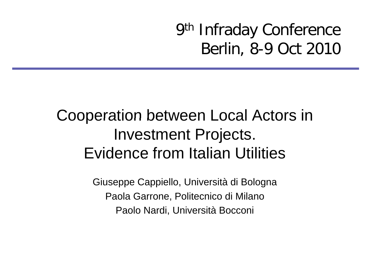9th Infraday Conference Berlin, 8-9 Oct 2010

#### Cooperation between Local Actors in Investment Projects. Evidence from Italian Utilities

Giuseppe Cappiello, Università di Bologna Paola Garrone, Politecnico di Milano Paolo Nardi, Università Bocconi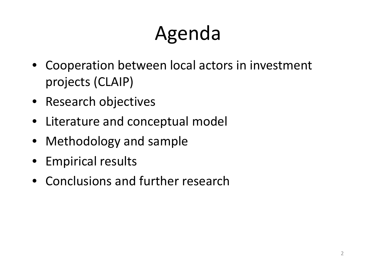#### Agend genda

- Cooperation between local actors in investment projects (CLAIP)
- Research objectives
- Literature and conceptual model
- Methodology and sample
- Empirical results
- Conclusions and further research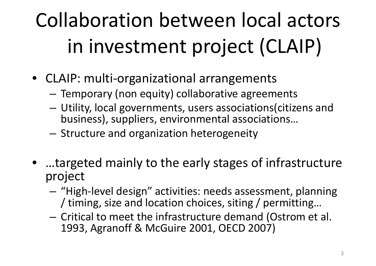# Collaboration between local actors in investment project (CLAIP)

- CLAIP: multi‐organizational arrangements
	- –Temporary (non equity) collaborative agreements
	- – Utility, local governments, users associations(citizens and business), suppliers, environmental associations...
	- – $-$  Structure and organization heterogeneity
- …targeted mainly to the early stages of infrastructure project
	- "High-level design" activities: needs assessment, planning / timing, size and location choices, siting / permitting...
	- $-$  Critical to meet the infrastructure demand (Ostrom et al. 1993, Agranoff & McGuire 2001, OECD 2007)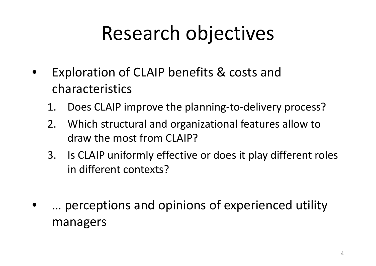### Research objectives

- • Exploration of CLAIP benefits & costs and characteristics
	- 1. Does CLAIP improve the planning‐to‐delivery process?
	- 2. Which structural and organizational features allow to draw the most from CLAIP?
	- 3. Is CLAIP uniformly effective or does it play different roles in different contexts?
- $\bullet$ … perceptions and opinions of experienced utility managers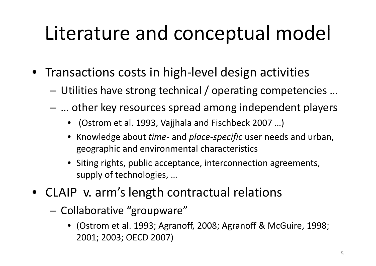## Literature and conceptual model

- Transactions costs in high‐level design activities
	- – $-$  Utilities have strong technical / operating competencies ...
	- … other key resources spread among independent players
		- (Ostrom et al. 1993, Vajjhala and Fischbeck 2007 …)
		- Knowledge about *time‐* and *place‐specific* user needs and urban, geographic and environmental characteristics
		- Siting rights, public acceptance, interconnection agreements, supply of technologies, …
- CLAIP v. arm's length contractual relations
	- Collaborative " groupware"
		- (Ostrom et al. 1993; Agranoff, 2008; Agranoff & McGuire, 1998; 2001; 2003; OECD 2007)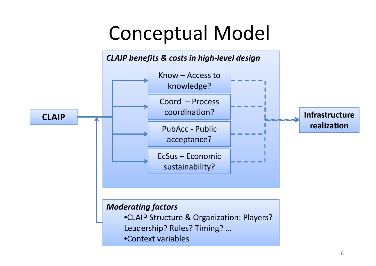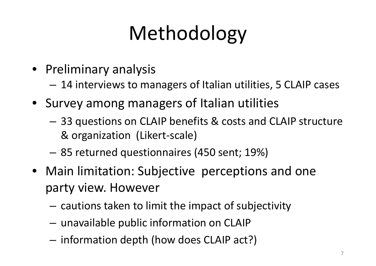# Methodology

- Preliminary analysis
	- 14 interviews to managers of Italian utilities, 5 CLAIP cases
- Survey among managers of Italian utilities
	- 33 questions on CLAIP benefits & costs and CLAIP structure & organization (Likert‐scale)
	- –85 returned questionnaires (450 sent; 19%)
- Main limitation: Subjective perceptions and one party view. However
	- $-$  cautions taken to limit the impact of subjectivity
	- –unavailable public information on CLAIP
	- –- information depth (how does CLAIP act?)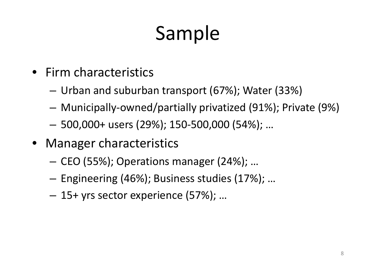# Sample

- Firm characteristics
	- –— Urban and suburban transport (67%); Water (33%)
	- Municipally‐owned/partially privatized (91%); Private (9%)
	- –500,000+ users (29%); 150‐500,000 (54%); …
- Manager characteristics
	- CEO (55%); Operations manager (24%); …
	- –Engineering (46%); Business studies (17%); …
	- 15+ yrs sector experience (57%); …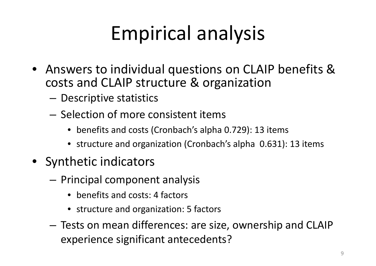# Empirical analysis

- Answers to individual questions on CLAIP benefits & costs and CLAIP structure & organization
	- Descriptive statistics
	- Selection of more consistent items
		- benefits and costs (Cronbach's alpha 0.729): 13 items
		- structure and organization (Cronbach's alpha 0.631): 13 items
- Synthetic indicators
	- –**- Principal component analysis** 
		- benefits and costs: 4 factors
		- structure and organization: 5 factors
	- Tests on mean differences: are size, ownership and CLAIP experience significant antecedents?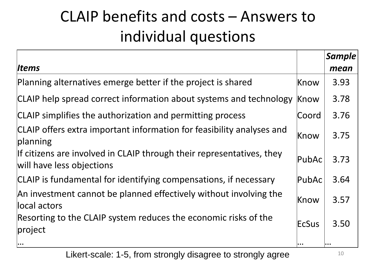#### CLAIP benefits and costs – Answers toindividual questions

|                                                                                                    |                                                              | <b>Sample</b> |
|----------------------------------------------------------------------------------------------------|--------------------------------------------------------------|---------------|
| ltems                                                                                              |                                                              | mean          |
| Planning alternatives emerge better if the project is shared                                       | Know                                                         | 3.93          |
| CLAIP help spread correct information about systems and technology                                 | Know                                                         | 3.78          |
| CLAIP simplifies the authorization and permitting process                                          | Coord                                                        | 3.76          |
| CLAIP offers extra important information for feasibility analyses and<br>planning                  | Know                                                         | 3.75          |
| If citizens are involved in CLAIP through their representatives, they<br>will have less objections | PubAc                                                        | 3.73          |
| CLAIP is fundamental for identifying compensations, if necessary                                   | <b>PubAc</b>                                                 | 3.64          |
| An investment cannot be planned effectively without involving the<br>llocal actors                 | Know                                                         | 3.57          |
| Resorting to the CLAIP system reduces the economic risks of the<br>project                         | EcSus                                                        | 3.50          |
| $\bullet \bullet \bullet$                                                                          | $\begin{array}{ccc} \bullet & \bullet & \bullet \end{array}$ | $\cdots$      |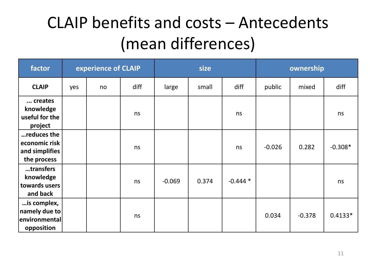#### CLAIP benefits and costs – Antecedents (mean differences)

| factor                                                        | experience of CLAIP |    |      |          | size  |           | ownership |          |           |
|---------------------------------------------------------------|---------------------|----|------|----------|-------|-----------|-----------|----------|-----------|
| <b>CLAIP</b>                                                  | yes                 | no | diff | large    | small | diff      | public    | mixed    | diff      |
| creates<br>knowledge<br>useful for the<br>project             |                     |    | ns   |          |       | ns        |           |          | ns        |
| reduces the<br>economic risk<br>and simplifies<br>the process |                     |    | ns   |          |       | ns        | $-0.026$  | 0.282    | $-0.308*$ |
| transfers<br>knowledge<br>towards users<br>and back           |                     |    | ns   | $-0.069$ | 0.374 | $-0.444*$ |           |          | ns        |
| is complex,<br>namely due to<br>environmental<br>opposition   |                     |    | ns   |          |       |           | 0.034     | $-0.378$ | $0.4133*$ |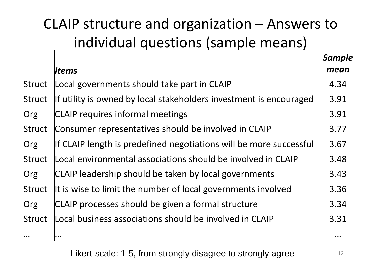#### CLAIP structure and organization – Answers to individual questions (sample means)

|        |                                                                    | <b>Sample</b> |
|--------|--------------------------------------------------------------------|---------------|
|        | lltems                                                             | mean          |
| Struct | Local governments should take part in CLAIP                        | 4.34          |
| Struct | If utility is owned by local stakeholders investment is encouraged | 3.91          |
| Org    | <b>CLAIP</b> requires informal meetings                            | 3.91          |
| Struct | Consumer representatives should be involved in CLAIP               | 3.77          |
| Org    | If CLAIP length is predefined negotiations will be more successful | 3.67          |
| Struct | Local environmental associations should be involved in CLAIP       | 3.48          |
| Org    | CLAIP leadership should be taken by local governments              | 3.43          |
| Struct | It is wise to limit the number of local governments involved       | 3.36          |
| Org    | CLAIP processes should be given a formal structure                 | 3.34          |
| Struct | Local business associations should be involved in CLAIP            | 3.31          |
|        |                                                                    |               |

Likert-scale: 1-5, from strongly disagree to strongly agree 12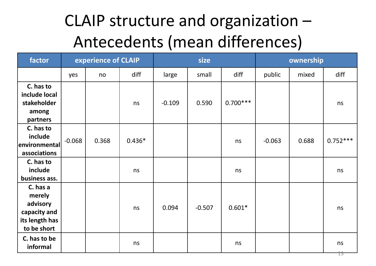#### CLAIP structure and organization – Antecedents (mean differences)

| factor                                                                          | experience of CLAIP |       |          | size     |          |            | ownership |       |            |
|---------------------------------------------------------------------------------|---------------------|-------|----------|----------|----------|------------|-----------|-------|------------|
|                                                                                 | yes                 | no    | diff     | large    | small    | diff       | public    | mixed | diff       |
| C. has to<br>include local<br>stakeholder<br>among<br>partners                  |                     |       | ns       | $-0.109$ | 0.590    | $0.700***$ |           |       | ns         |
| C. has to<br>include<br><b>environmental</b><br>associations                    | $-0.068$            | 0.368 | $0.436*$ |          |          | ns         | $-0.063$  | 0.688 | $0.752***$ |
| C. has to<br>include<br>business ass.                                           |                     |       | ns       |          |          | ns         |           |       | ns         |
| C. has a<br>merely<br>advisory<br>capacity and<br>its length has<br>to be short |                     |       | ns       | 0.094    | $-0.507$ | $0.601*$   |           |       | ns         |
| C. has to be<br>informal                                                        |                     |       | ns       |          |          | ns         |           |       | ns         |